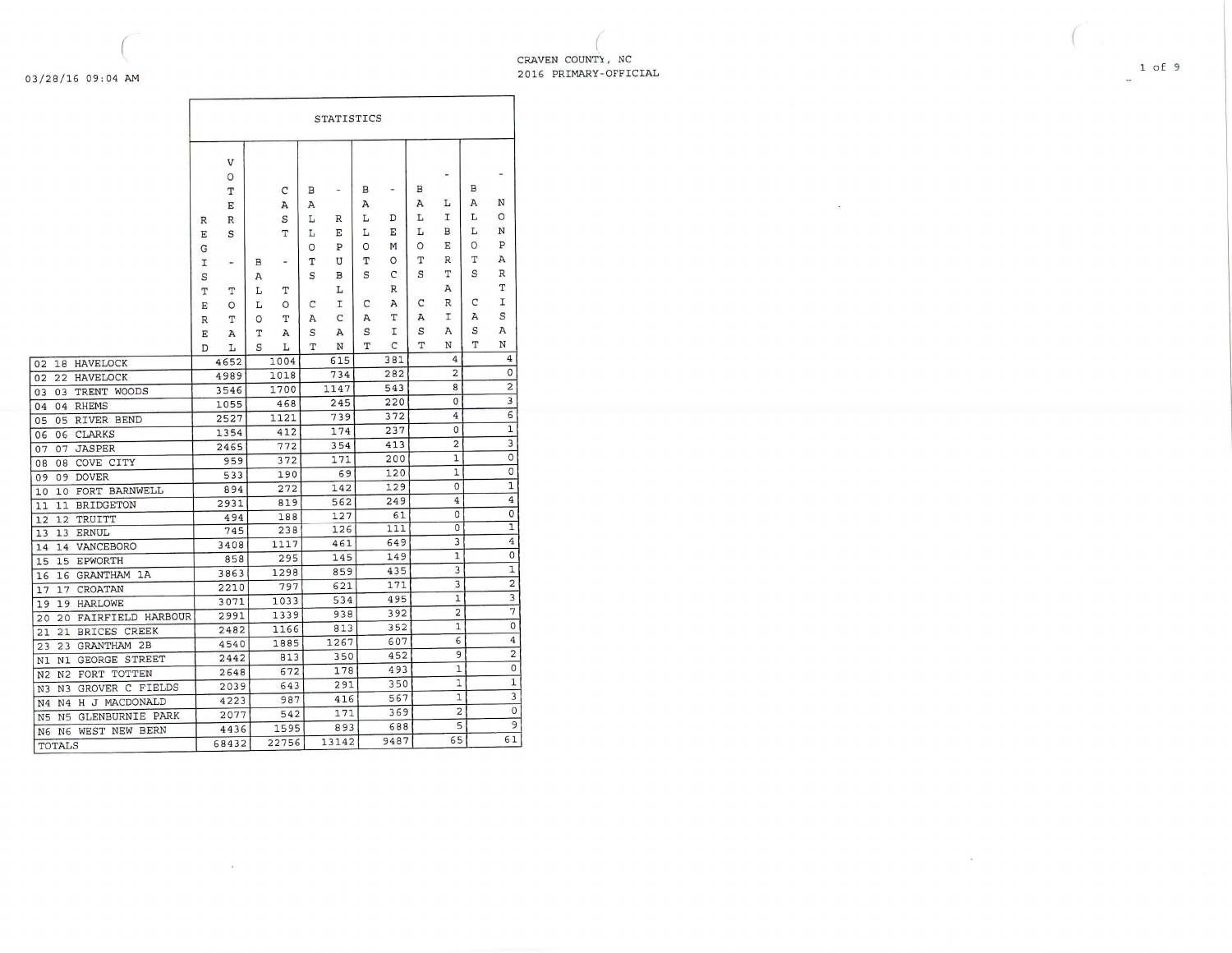03/28/16 09:04 AM

CRAVEN COUNTY, NC 2016 PRIMARY-OFFICIAL

|                                                            |             | STATISTICS               |   |       |   |                          |   |      |   |                         |   |                |  |
|------------------------------------------------------------|-------------|--------------------------|---|-------|---|--------------------------|---|------|---|-------------------------|---|----------------|--|
|                                                            |             | V                        |   |       |   |                          |   |      |   |                         |   |                |  |
|                                                            |             | O                        |   |       |   |                          |   |      |   | -                       |   |                |  |
|                                                            |             | T                        |   | C     | в | $\overline{\phantom{a}}$ | В | -    | в |                         | В |                |  |
|                                                            |             | E                        |   | А     | А |                          | Α |      | А | г                       | А | N              |  |
|                                                            | $\mathbb R$ | R                        |   | S     | L | R                        | L | D    | L | I                       | L | O              |  |
|                                                            | Е           | S                        |   | T     | г | Е                        | L | Е    | L | в                       | L | N              |  |
|                                                            | G           |                          |   |       | O | Ρ                        | O | М    | O | Е                       | O | P              |  |
|                                                            | I           | $\overline{\phantom{a}}$ | в | ٠     | т | U                        | т | O    | т | R                       | Т | A              |  |
|                                                            | S           |                          | Α |       | S | в                        | S | C    | S | т                       | S | R              |  |
|                                                            | Т           | Т                        | L | Т     |   | L                        |   | R    |   | A                       |   | T              |  |
|                                                            | Ε           | O                        | L | O     | C | I                        | C | A    | С | R                       | C | I              |  |
|                                                            | R           | T                        | O | T     | Α | C                        | А | т    | А | Ι                       | Α | S              |  |
|                                                            | Ε           | Α                        | Τ | А     | S | A                        | S | I    | S | А                       | S | A              |  |
|                                                            | D           | L                        | S | Τ.    | T | N                        | T | C    | T | N                       | т | N              |  |
| HAVELOCK<br>02<br>18                                       |             | 4652                     |   | 1004  |   | 615                      |   | 381  |   | 4                       |   | 4              |  |
| 02<br>HAVELOCK<br>22                                       |             | 4989                     |   | 1018  |   | 734                      |   | 282  |   | $\overline{c}$          |   | $\circ$        |  |
| TRENT WOODS<br>03<br>03                                    |             | 3546                     |   | 1700  |   | 1147                     |   | 543  |   | 8                       |   | 2              |  |
| 04<br><b>RHEMS</b><br>04                                   |             | 1055                     |   | 468   |   | 245                      |   | 220  |   | 0                       |   | 3              |  |
| RIVER BEND<br>05<br>05                                     |             | 2527                     |   | 1121  |   | 739                      |   | 372  |   | $\overline{4}$          |   | 6              |  |
| <b>CLARKS</b><br>06<br>06                                  |             | 1354                     |   | 412   |   | 174                      |   | 237  |   | 0                       |   | 1              |  |
| <b>JASPER</b><br>07<br>07                                  |             | 2465                     |   | 772   |   | 354                      |   | 413  |   | $\overline{\mathbf{c}}$ |   | 3              |  |
| COVE CITY<br>08<br>08                                      |             | 959                      |   | 372   |   | 171                      |   | 200  |   | 1                       |   | $\overline{0}$ |  |
| <b>DOVER</b><br>09<br>09                                   |             | 533                      |   | 190   |   | 69                       |   | 120  |   | 1                       |   | 0              |  |
| 10<br>FORT BARNWELL<br>10                                  |             | 894                      |   | 272   |   | 142                      |   | 129  |   | $\Omega$                |   | 1              |  |
| BRIDGETON<br>11<br>11                                      |             | 2931                     |   | 819   |   | 562                      |   | 249  |   | 4                       |   | 4              |  |
| 12<br>TRUITT<br>12                                         |             | 494                      |   | 188   |   | 127                      |   | 61   |   | 0                       |   | 0              |  |
| 13<br>13<br>ERNUL                                          |             | 745                      |   | 238   |   | 126                      |   | 111  |   | $\Omega$                |   | 1              |  |
| VANCEBORO<br>14<br>14                                      |             | 3408                     |   | 1117  |   | 461                      |   | 649  |   | 3                       |   | $\overline{4}$ |  |
| <b>EPWORTH</b><br>15<br>15                                 |             | 858                      |   | 295   |   | 145                      |   | 149  |   | $\mathbf{1}$            |   | 0              |  |
| GRANTHAM 1A<br>16<br>16                                    |             | 3863                     |   | 1298  |   | 859                      |   | 435  |   | 3                       |   | $\mathbf{1}$   |  |
| CROATAN<br>17<br>17                                        |             | 2210                     |   | 797   |   | 621                      |   | 171  |   | 3                       |   | $\overline{2}$ |  |
| <b>HARLOWE</b><br>19<br>19                                 |             | 3071                     |   | 1033  |   | 534                      |   | 495  |   | 1                       |   | 3              |  |
| FAIRFIELD HARBOUR<br>20<br>20                              |             | 2991                     |   | 1339  |   | 938                      |   | 392  |   | 2                       |   | 7              |  |
| BRICES CREEK<br>21<br>21                                   |             | 2482                     |   | 1166  |   | 813                      |   | 352  |   | $\mathbf{1}$            |   | $\circ$        |  |
| GRANTHAM 2B<br>23<br>23                                    |             | 4540                     |   | 1885  |   | 1267                     |   | 607  |   | 6                       |   | $\bf 4$        |  |
| GEORGE STREET<br>N1<br>N1                                  |             | 2442                     |   | 813   |   | 350                      |   | 452  |   | 9                       |   | 2              |  |
| FORT TOTTEN<br>N <sub>2</sub><br>N <sub>2</sub>            |             | 2648                     |   | 672   |   | 178                      |   | 493  |   | $\mathbf{1}$            |   | 0              |  |
| GROVER C FIELDS<br>N <sub>3</sub><br>N <sub>3</sub>        |             | 2039                     |   | 643   |   | 291                      |   | 350  |   | 1                       |   | 1              |  |
| H J MACDONALD<br>N <sub>4</sub><br>N <sub>4</sub>          |             | 4223                     |   | 987   |   | 416                      |   | 567  |   | 1                       |   | 3              |  |
| <b>GLENBURNIE PARK</b><br>N <sub>5</sub><br>N <sub>5</sub> |             | 2077                     |   | 542   |   | 171                      |   | 369  |   | $\overline{c}$          |   | 0              |  |
| WEST NEW BERN<br>N <sub>6</sub><br>N <sub>6</sub>          |             | 4436                     |   | 1595  |   | 893                      |   | 688  |   | 5                       |   | 9              |  |
| TOTALS                                                     |             | 68432                    |   | 22756 |   | 13142                    |   | 9487 |   | 65                      |   | 61             |  |

- Si

24%